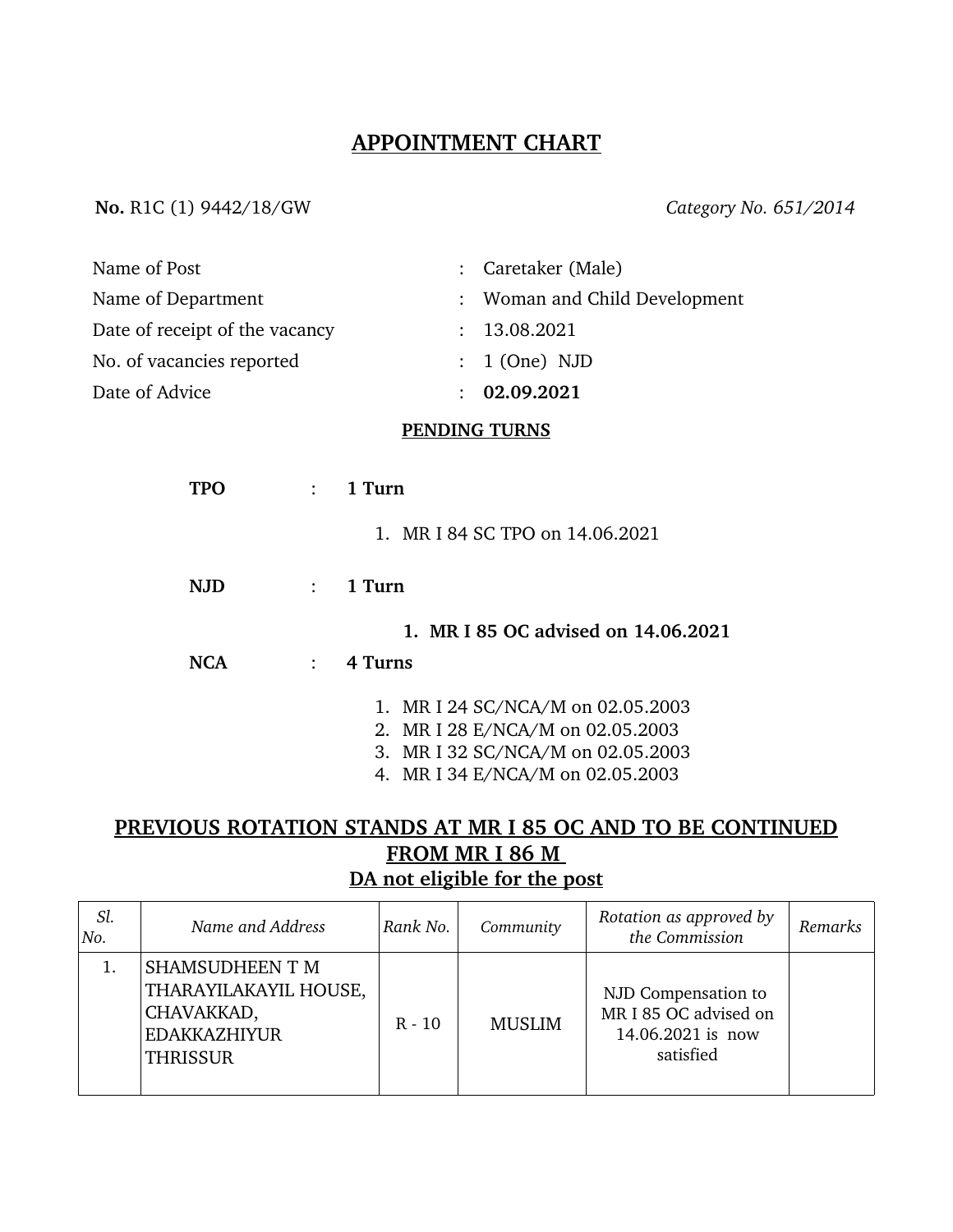## **APPOINTMENT CHART**

#### **No.** R1C (1) 9442/18/GW *Category No. 651/2014*

| Name of Post                            | : Caretaker (Male)                                                                                                                             |  |  |  |  |  |  |
|-----------------------------------------|------------------------------------------------------------------------------------------------------------------------------------------------|--|--|--|--|--|--|
| Name of Department                      | Woman and Child Development                                                                                                                    |  |  |  |  |  |  |
| Date of receipt of the vacancy          | 13.08.2021                                                                                                                                     |  |  |  |  |  |  |
| No. of vacancies reported               | 1 (One) NJD                                                                                                                                    |  |  |  |  |  |  |
| Date of Advice                          | 02.09.2021                                                                                                                                     |  |  |  |  |  |  |
| <b>PENDING TURNS</b>                    |                                                                                                                                                |  |  |  |  |  |  |
| <b>TPO</b><br>$\mathcal{L}$             | 1 Turn                                                                                                                                         |  |  |  |  |  |  |
|                                         | 1. MR I 84 SC TPO on 14.06.2021                                                                                                                |  |  |  |  |  |  |
| <b>NJD</b><br>$\mathbf{r}$              | 1 Turn                                                                                                                                         |  |  |  |  |  |  |
|                                         | 1. MR I 85 OC advised on 14.06.2021                                                                                                            |  |  |  |  |  |  |
| <b>NCA</b><br>$\mathbb{R}^{\mathbb{Z}}$ | 4 Turns                                                                                                                                        |  |  |  |  |  |  |
|                                         | 1. MR I 24 SC/NCA/M on 02.05.2003<br>2. MR I 28 E/NCA/M on 02.05.2003<br>3. MR I 32 SC/NCA/M on 02.05.2003<br>4. MR I 34 E/NCA/M on 02.05.2003 |  |  |  |  |  |  |

# **PREVIOUS ROTATION STANDS AT MR I 85 OC AND TO BE CONTINUED FROM MR I 86 M DA not eligible for the post**

| Sl.<br>No. | Name and Address                                                                                 | Rank No. | Community     | Rotation as approved by<br>the Commission                                      | Remarks |
|------------|--------------------------------------------------------------------------------------------------|----------|---------------|--------------------------------------------------------------------------------|---------|
|            | SHAMSUDHEEN T M<br>THARAYILAKAYIL HOUSE,<br>CHAVAKKAD,<br><b>EDAKKAZHIYUR</b><br><b>THRISSUR</b> | $R - 10$ | <b>MUSLIM</b> | NJD Compensation to<br>MR I 85 OC advised on<br>14.06.2021 is now<br>satisfied |         |